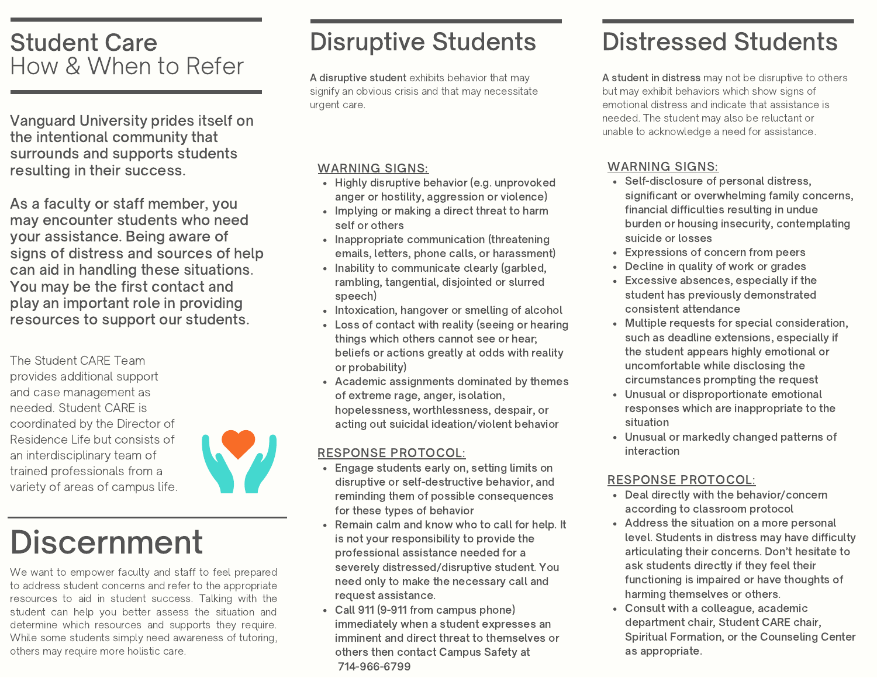### Student Care How & When to Refer

Vanguard University prides itself on the intentional community that surrounds and supports students resulting in their success.

As a faculty or staff member, you may encounter students who need your assistance. Being aware of signs of distress and sources of help can aid in handling these situations. You may be the first contact and play an important role in providing resources to support our students.

The Student CARE Team provides additional support and case management as needed. Student CARE is coordinated by the Director of Residence Life but consists of an interdisciplinary team of trained professionals from a variety of areas of campus life.



# **Discernment**

We want to empower faculty and staff to feel prepared to address student concerns and refer to the appropriate resources to aid in student success. Talking with the student can help you better assess the situation and determine which resources and supports they require. While some students simply need awareness of tutoring, others may require more holistic care.

## Disruptive Students

A disruptive student exhibits behavior that may signify an obvious crisis and that may necessitate urgent care.

#### WARNING SIGNS:

- Highly disruptive behavior (e.g. unprovoked anger or hostility, aggression or violence)
- Implying or making a direct threat to harm self or others
- Inappropriate communication (threatening emails, letters, phone calls, or harassment)
- Inability to communicate clearly (garbled, rambling, tangential, disjointed or slurred speech)
- Intoxication, hangover or smelling of alcohol
- Loss of contact with reality (seeing or hearing things which others cannot see or hear; beliefs or actions greatly at odds with reality or probability)
- Academic assignments dominated by themes of extreme rage, anger, isolation, hopelessness, worthlessness, despair, or acting out suicidal ideation/violent behavior

#### RESPONSE PROTOCOL:

- Engage students early on, setting limits on  $\bullet$ disruptive or self-destructive behavior, and reminding them of possible consequences for these types of behavior
- Remain calm and know who to call for help. It is not your responsibility to provide the professional assistance needed for a severely distressed/disruptive student. You need only to make the necessary call and request assistance.
- Call 911 (9-911 from campus phone) immediately when a student expresses an imminent and direct threat to themselves or others then contact Campus Safety at 714-966-6799

## Distressed Students

A student in distress may not be disruptive to others but may exhibit behaviors which show signs of emotional distress and indicate that assistance is needed. The student may also be reluctant or unable to acknowledge a need for assistance.

#### WARNING SIGNS:

- Self-disclosure of personal distress, significant or overwhelming family concerns, financial difficulties resulting in undue burden or housing insecurity, contemplating suicide or losses
- Expressions of concern from peers
- Decline in quality of work or grades
- Excessive absences, especially if the student has previously demonstrated consistent attendance
- Multiple requests for special consideration, such as deadline extensions, especially if the student appears highly emotional or uncomfortable while disclosing the circumstances prompting the request
- Unusual or disproportionate emotional responses which are inappropriate to the situation
- Unusual or markedly changed patterns of interaction

#### RESPONSE PROTOCOL:

- Deal directly with the behavior/concern according to classroom protocol
- Address the situation on a more personal level. Students in distress may have difficulty articulating their concerns. Don't hesitate to ask students directly if they feel their functioning is impaired or have thoughts of harming themselves or others.
- Consult with a colleague, academic department chair, Student CARE chair, Spiritual Formation, or the Counseling Center as appropriate.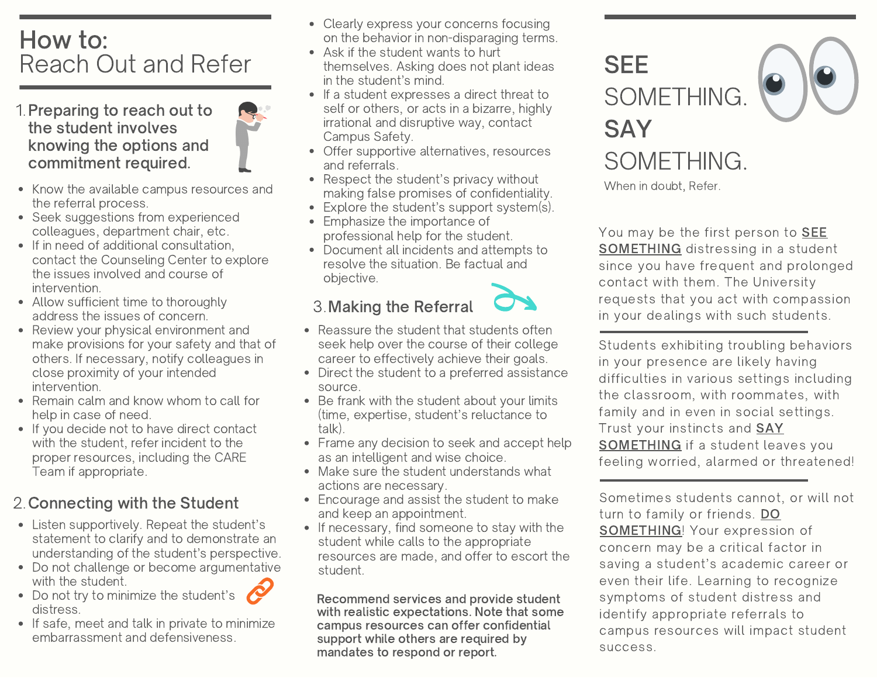## How to: Reach Out and Refer

- 1. Preparing to reach out to the student involves knowing the options and commitment required.
- Know the available campus resources and the referral process.
- Seek suggestions from experienced colleagues, department chair, etc.
- If in need of additional consultation, contact the Counseling Center to explore the issues involved and course of intervention.
- Allow sufficient time to thoroughly address the issues of concern.
- Review your physical environment and make provisions for your safety and that of others. If necessary, notify colleagues in close proximity of your intended intervention.
- Remain calm and know whom to call for help in case of need.
- If you decide not to have direct contact with the student, refer incident to the proper resources, including the CARE Team if appropriate.

### 2. Connecting with the Student

- Listen supportively. Repeat the student's statement to clarify and to demonstrate an understanding of the student's perspective.
- Do not challenge or become argumentative with the student.
- Do not try to minimize the student's distress.
- If safe, meet and talk in private to minimize embarrassment and defensiveness.
- Clearly express your concerns focusing on the behavior in non-disparaging terms.
- Ask if the student wants to hurt themselves. Asking does not plant ideas in the student's mind.
- If a student expresses a direct threat to self or others, or acts in a bizarre, highly irrational and disruptive way, contact Campus Safety.
- Offer supportive alternatives, resources and referrals.
- Respect the student's privacy without making false promises of confidentiality.
- Explore the student's support system(s).
- Emphasize the importance of professional help for the student.
- resolve the situation. Be factual and<br>objective 2. Document all incidents and attempts to objective.

### 3. Making the Referral



- Reassure the student that students often seek help over the course of their college career to effectively achieve their goals.
- Direct the student to a preferred assistance source.
- Be frank with the student about your limits (time, expertise, student's reluctance to talk).
- Frame any decision to seek and accept help as an intelligent and wise choice.
- Make sure the student understands what actions are necessary.
- Encourage and assist the student to make and keep an appointment.
- If necessary, find someone to stay with the student while calls to the appropriate resources are made, and offer to escort the student.

Recommend services and provide student with realistic expectations. Note that some campus resources can offer confidential support while others are required by mandates to respond or report.

**SEE** SOMETHING. **SAY** SOMETHING.

When in doubt, Refer.

You may be the first person to **SEE** SOMETHING distressing in a student since you have frequent and prolonged contact with them. The University requests that you act with compassion in your dealings with such students.

Students exhibiting troubling behaviors in your presence are likely having difficulties in various settings including the classroom, with roommates, with family and in even in social settings. Trust your instincts and SAY SOMETHING if a student leaves you feeling worried, alarmed or threatened!

Sometimes students cannot, or will not turn to family or friends. DO SOMETHING! Your expression of concern may be a critical factor in saving a student's academic career or even their life. Learning to recognize symptoms of student distress and identify appropriate referrals to campus resources will impact student success.

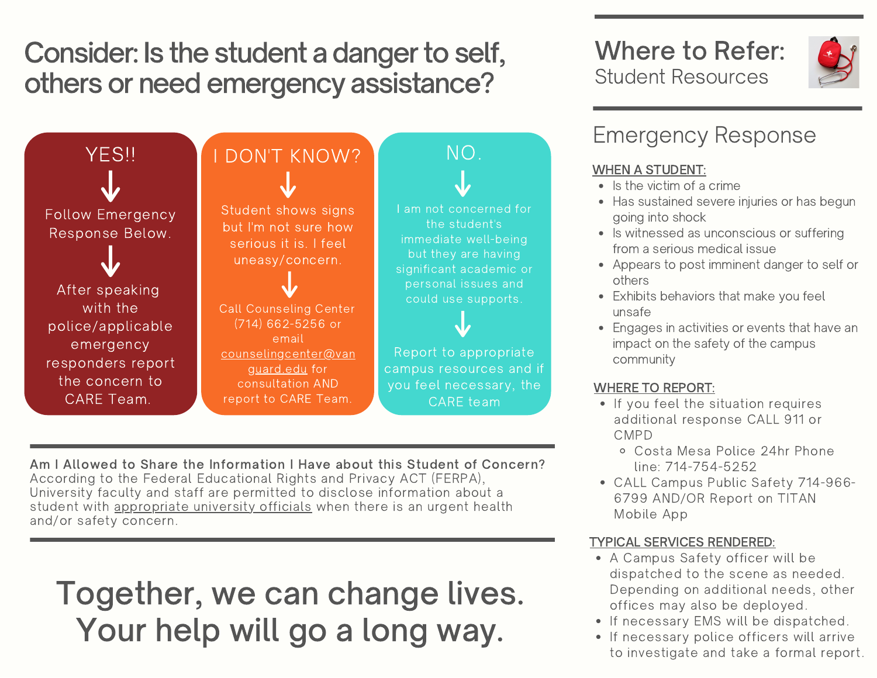Consider: Is the student a danger to self, others or need emergency assistance?



Am I Allowed to Share the Information I Have about this Student of Concern? According to the Federal Educational Rights and Privacy ACT (FERPA), University faculty and staff are permitted to disclose information about a student with appropriate university officials when there is an urgent health and/or safety concern.

# Together, we can change lives. Your help will go a long way.

### Where to Refer: Student Resources



### Emergency Response

#### WHEN A STUDENT:

- $\bullet$  Is the victim of a crime
- Has sustained severe injuries or has begun going into shock
- Is witnessed as unconscious or suffering from a serious medical issue
- Appears to post imminent danger to self or others
- Exhibits behaviors that make you feel unsafe
- Engages in activities or events that have an impact on the safety of the campus community

#### WHERE TO REPORT:

- If you feel the situation requires additional response CALL 911 or CMPD
	- Costa Mesa Police 24hr Phone line: 714-754-5252
- CALL Campus Public Safety 714-966- 6799 AND/OR Report on TITAN Mobile App

#### TYPICAL SERVICES RENDERED:

- A Campus Safety officer will be dispatched to the scene as needed. Depending on additional needs, other offices may also be deployed.
- If necessary EMS will be dispatched.
- If necessary police officers will arrive to investigate and take a formal report.